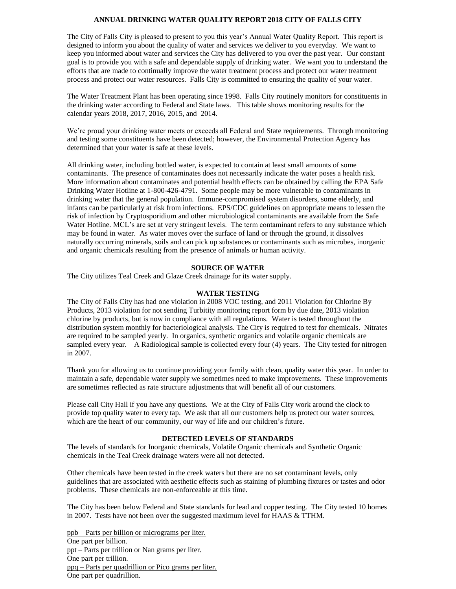## **ANNUAL DRINKING WATER QUALITY REPORT 2018 CITY OF FALLS CITY**

The City of Falls City is pleased to present to you this year's Annual Water Quality Report. This report is designed to inform you about the quality of water and services we deliver to you everyday. We want to keep you informed about water and services the City has delivered to you over the past year. Our constant goal is to provide you with a safe and dependable supply of drinking water. We want you to understand the efforts that are made to continually improve the water treatment process and protect our water treatment process and protect our water resources. Falls City is committed to ensuring the quality of your water.

The Water Treatment Plant has been operating since 1998. Falls City routinely monitors for constituents in the drinking water according to Federal and State laws. This table shows monitoring results for the calendar years 2018, 2017, 2016, 2015, and 2014.

We're proud your drinking water meets or exceeds all Federal and State requirements. Through monitoring and testing some constituents have been detected; however, the Environmental Protection Agency has determined that your water is safe at these levels.

All drinking water, including bottled water, is expected to contain at least small amounts of some contaminants. The presence of contaminates does not necessarily indicate the water poses a health risk. More information about contaminates and potential health effects can be obtained by calling the EPA Safe Drinking Water Hotline at 1-800-426-4791. Some people may be more vulnerable to contaminants in drinking water that the general population. Immune-compromised system disorders, some elderly, and infants can be particularly at risk from infections. EPS/CDC guidelines on appropriate means to lessen the risk of infection by Cryptosporidium and other microbiological contaminants are available from the Safe Water Hotline. MCL's are set at very stringent levels. The term contaminant refers to any substance which may be found in water. As water moves over the surface of land or through the ground, it dissolves naturally occurring minerals, soils and can pick up substances or contaminants such as microbes, inorganic and organic chemicals resulting from the presence of animals or human activity.

### **SOURCE OF WATER**

The City utilizes Teal Creek and Glaze Creek drainage for its water supply.

#### **WATER TESTING**

The City of Falls City has had one violation in 2008 VOC testing, and 2011 Violation for Chlorine By Products, 2013 violation for not sending Turbitity monitoring report form by due date, 2013 violation chlorine by products, but is now in compliance with all regulations. Water is tested throughout the distribution system monthly for bacteriological analysis. The City is required to test for chemicals. Nitrates are required to be sampled yearly. In organics, synthetic organics and volatile organic chemicals are sampled every year. A Radiological sample is collected every four (4) years. The City tested for nitrogen in 2007.

Thank you for allowing us to continue providing your family with clean, quality water this year. In order to maintain a safe, dependable water supply we sometimes need to make improvements. These improvements are sometimes reflected as rate structure adjustments that will benefit all of our customers.

Please call City Hall if you have any questions. We at the City of Falls City work around the clock to provide top quality water to every tap. We ask that all our customers help us protect our water sources, which are the heart of our community, our way of life and our children's future.

#### **DETECTED LEVELS OF STANDARDS**

The levels of standards for Inorganic chemicals, Volatile Organic chemicals and Synthetic Organic chemicals in the Teal Creek drainage waters were all not detected.

Other chemicals have been tested in the creek waters but there are no set contaminant levels, only guidelines that are associated with aesthetic effects such as staining of plumbing fixtures or tastes and odor problems. These chemicals are non-enforceable at this time.

The City has been below Federal and State standards for lead and copper testing. The City tested 10 homes in 2007. Tests have not been over the suggested maximum level for HAAS & TTHM.

ppb – Parts per billion or micrograms per liter. One part per billion. ppt – Parts per trillion or Nan grams per liter. One part per trillion. ppq – Parts per quadrillion or Pico grams per liter. One part per quadrillion.